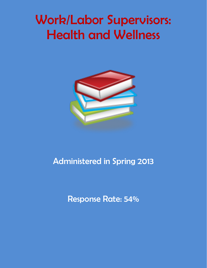# Work/Labor Supervisors: Health and Wellness



## Administered in Spring 2013

Response Rate: 54%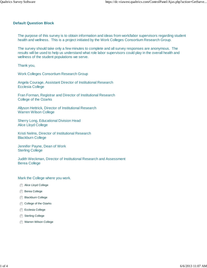#### **Default Question Block**

The purpose of this survey is to obtain information and ideas from work/labor supervisors regarding student health and wellness. This is a project initiated by the Work Colleges Consortium Research Group.

The survey should take only a few minutes to complete and all survey responses are anonymous. The results will be used to help us understand what role labor supervisors could play in the overall health and wellness of the student populations we serve.

Thank you,

Work Colleges Consortium Research Group

Angela Courage, Assistant Director of Institutional Research Ecclesia College

Fran Forman, Registrar and Director of Institutional Research College of the Ozarks

Allyson Hettrick, Director of Institutional Research Warren Wilson College

Sherry Long, Educational Division Head Alice Lloyd College

Kristi Nelms, Director of Institutional Research Blackburn College

Jennifer Payne, Dean of Work Sterling College

Judith Weckman, Director of Institutional Research and Assessment Berea College

#### Mark the College where you work.

- **Alice Lloyd College**
- **Berea College**
- Blackburn College
- College of the Ozarks
- Ecclesia College
- Sterling College
- **Warren Wilson College**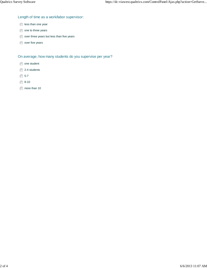### Length of time as a work/labor supervisor:

- less than one year
- one to three years
- over three years but less than five years
- over five years

On average, how many students do you supervise per year?

- one student
- 2-4 students
- ◯ 5-7
- ◯ 8-10
- $\circledcirc$  more than 10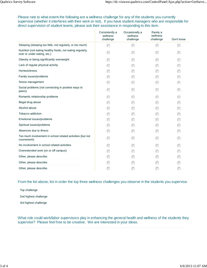Please rate to what extent the following are a wellness challenge for any of the students you currently supervise (whether it interferes with their work or not). If you have student managers who are responsible for direct supervision of student teams, please ask their assistance in responding to this item.

|                                                                                           | Consistently a<br>wellness<br>challenge | Occasionally a<br>wellness<br>challenge | Rarely a<br>wellness<br>challenge | Don't know |
|-------------------------------------------------------------------------------------------|-----------------------------------------|-----------------------------------------|-----------------------------------|------------|
| Sleeping (sleeping too little, not regularly, or too much)                                |                                         |                                         |                                   |            |
| Nutrition (not eating healthy foods, not eating regularly,<br>over or under eating, etc.) |                                         |                                         |                                   |            |
| Obesity or being significantly overweight                                                 |                                         |                                         |                                   |            |
| Lack of regular physical activity                                                         |                                         |                                         |                                   |            |
| <b>Homesickness</b>                                                                       |                                         |                                         |                                   |            |
| Family issues/problems                                                                    |                                         |                                         |                                   |            |
| Stress management                                                                         |                                         |                                         |                                   |            |
| Social problems (not connecting in positive ways to<br>peers)                             |                                         |                                         |                                   |            |
| Romantic relationship problems                                                            |                                         |                                         |                                   |            |
| Illegal drug abuse                                                                        |                                         |                                         |                                   |            |
| Alcohol abuse                                                                             |                                         |                                         |                                   |            |
| Tobacco addiction                                                                         |                                         |                                         |                                   |            |
| Emotional issues/problems                                                                 |                                         |                                         |                                   |            |
| Spiritual issues/problems                                                                 |                                         |                                         |                                   |            |
| Absences due to illness                                                                   |                                         |                                         |                                   |            |
| Too much involvement in school related activities (but not<br>coursework)                 |                                         |                                         |                                   |            |
| No involvement in school related activities                                               |                                         |                                         |                                   |            |
| Overextended work (on or off campus)                                                      |                                         |                                         |                                   |            |
| Other, please describe.                                                                   |                                         |                                         |                                   |            |
| Other, please describe.                                                                   |                                         |                                         |                                   |            |
| Other, please describe.                                                                   |                                         |                                         |                                   |            |

From the list above, list in order the top three wellness challenges you observe in the students you supervise.

| Top challenge         |  |  |  |
|-----------------------|--|--|--|
| 2nd highest challenge |  |  |  |
| 3rd highest challenge |  |  |  |

What role could work/labor supervisors play in enhancing the general health and wellness of the students they supervise? Please feel free to be creative. We are interested in your ideas.